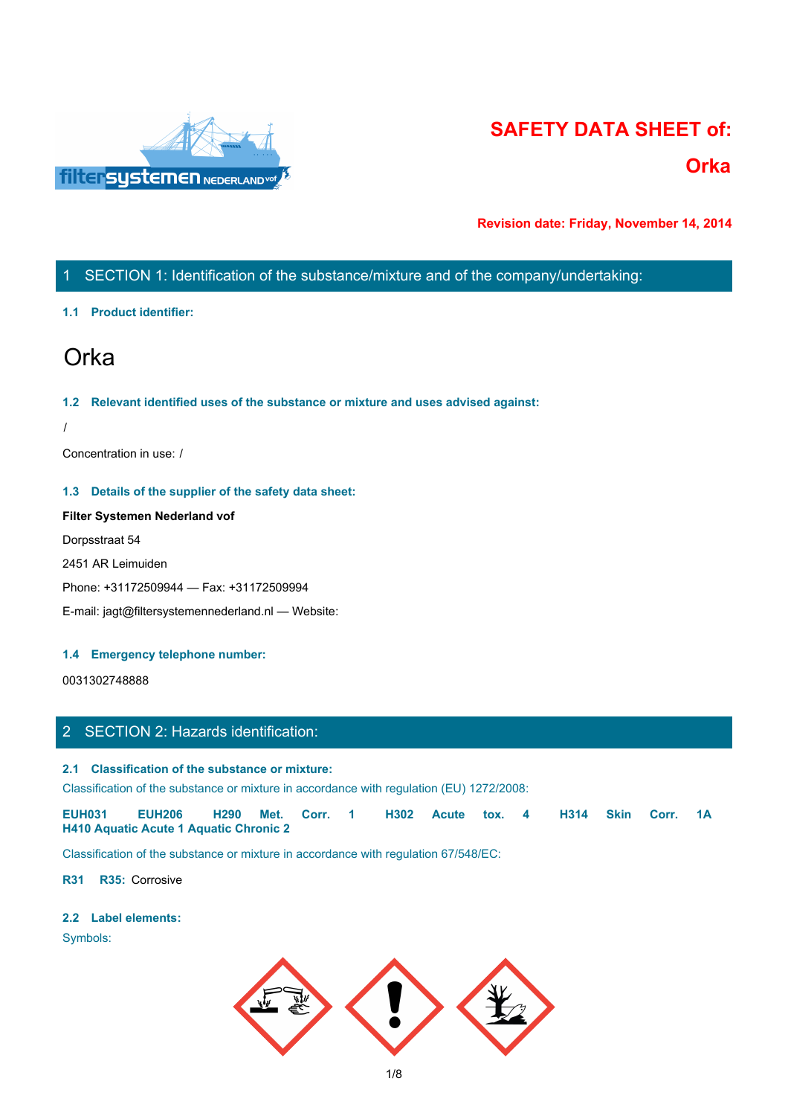

# **SAFETY DATA SHEET of: Orka**

**Revision date: Friday, November 14, 2014**

# 1 SECTION 1: Identification of the substance/mixture and of the company/undertaking:

### **1.1 Product identifier:**

# Orka

### **1.2 Relevant identified uses of the substance or mixture and uses advised against:**

### **1.3 Details of the supplier of the safety data sheet:**

# **Filter Systemen Nederland vof**

### **1.4 Emergency telephone number:**

# 2 SECTION 2: Hazards identification:

### **2.1 Classification of the substance or mixture:**

| Concentration in use: /                                                                                                                                                                |
|----------------------------------------------------------------------------------------------------------------------------------------------------------------------------------------|
| 1.3 Details of the supplier of the safety data sheet:                                                                                                                                  |
| Filter Systemen Nederland vof                                                                                                                                                          |
| Dorpsstraat 54                                                                                                                                                                         |
| 2451 AR Leimuiden                                                                                                                                                                      |
| Phone: +31172509944 - Fax: +31172509994                                                                                                                                                |
| E-mail: jagt@filtersystemennederland.nl - Website:                                                                                                                                     |
|                                                                                                                                                                                        |
| 1.4 Emergency telephone number:                                                                                                                                                        |
| 0031302748888                                                                                                                                                                          |
|                                                                                                                                                                                        |
| 2 SECTION 2: Hazards identification:                                                                                                                                                   |
| 2.1 Classification of the substance or mixture:                                                                                                                                        |
| Classification of the substance or mixture in accordance with regulation (EU) 1272/2008:                                                                                               |
| <b>EUH031</b><br><b>EUH206</b><br>Corr. 1<br><b>Skin</b><br>H <sub>290</sub><br>Met.<br>H302<br>H314<br>Corr. 1A<br><b>Acute</b><br>tox. $4$<br>H410 Aquatic Acute 1 Aquatic Chronic 2 |
| Classification of the substance or mixture in accordance with regulation 67/548/EC:                                                                                                    |
| R31 R35: Corrosive                                                                                                                                                                     |
| .                                                                                                                                                                                      |

### **2.2 Label elements:**

Symbols:

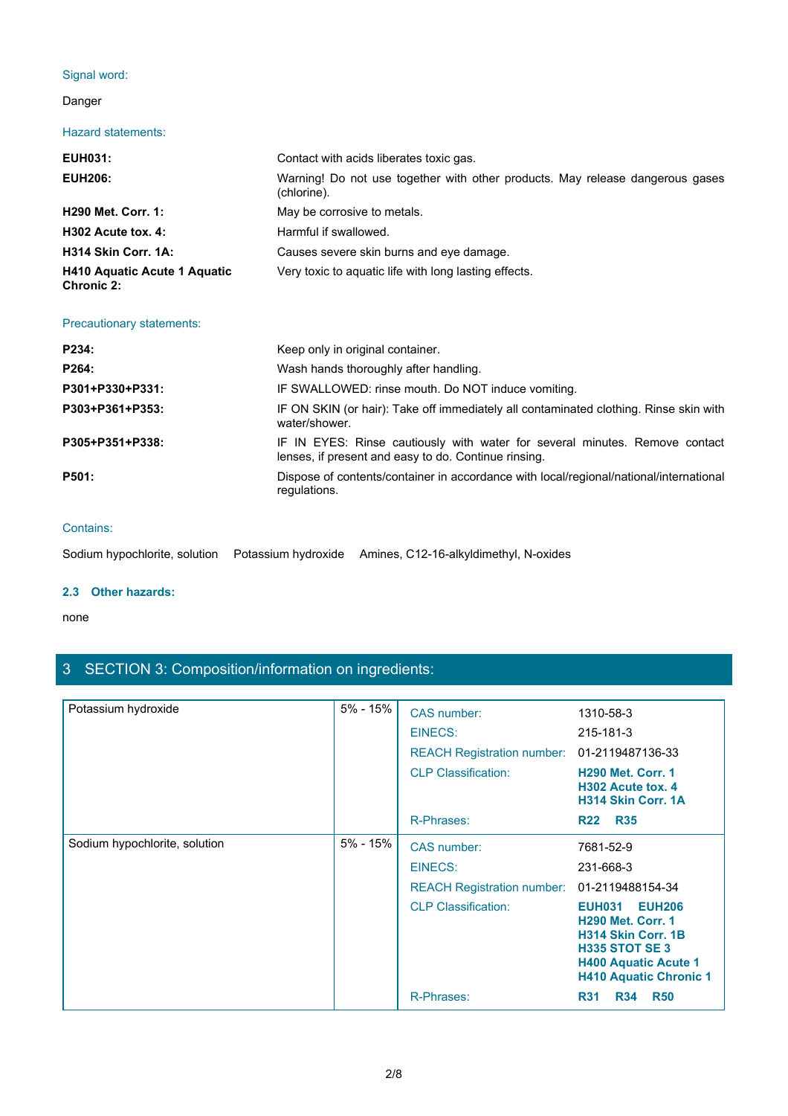# Signal word:

# Danger

### Hazard statements:

| Signal word:                               |                                                                                                                                     |  |
|--------------------------------------------|-------------------------------------------------------------------------------------------------------------------------------------|--|
|                                            |                                                                                                                                     |  |
| Danger                                     |                                                                                                                                     |  |
| <b>Hazard statements:</b>                  |                                                                                                                                     |  |
| <b>EUH031:</b>                             | Contact with acids liberates toxic gas.                                                                                             |  |
| <b>EUH206:</b>                             | Warning! Do not use together with other products. May release dangerous gases<br>(chlorine).                                        |  |
| <b>H290 Met. Corr. 1:</b>                  | May be corrosive to metals.                                                                                                         |  |
| H302 Acute tox. 4:                         | Harmful if swallowed.                                                                                                               |  |
| H314 Skin Corr. 1A:                        | Causes severe skin burns and eye damage.                                                                                            |  |
| H410 Aquatic Acute 1 Aquatic<br>Chronic 2: | Very toxic to aquatic life with long lasting effects.                                                                               |  |
| Precautionary statements:                  |                                                                                                                                     |  |
| P234:                                      | Keep only in original container.                                                                                                    |  |
| P264:                                      | Wash hands thoroughly after handling.                                                                                               |  |
| P301+P330+P331:                            | IF SWALLOWED: rinse mouth. Do NOT induce vomiting.                                                                                  |  |
| P303+P361+P353:                            | IF ON SKIN (or hair): Take off immediately all contaminated clothing. Rinse skin with<br>water/shower.                              |  |
| P305+P351+P338:                            | IF IN EYES: Rinse cautiously with water for several minutes. Remove contact<br>lenses, if present and easy to do. Continue rinsing. |  |
| <b>P501:</b>                               | Dispose of contents/container in accordance with local/regional/national/international<br>regulations.                              |  |
|                                            |                                                                                                                                     |  |

| P264:           | Wash hands thoroughly after handling.                                                                                               |
|-----------------|-------------------------------------------------------------------------------------------------------------------------------------|
| P301+P330+P331: | IF SWALLOWED: rinse mouth. Do NOT induce vomiting.                                                                                  |
| P303+P361+P353: | IF ON SKIN (or hair): Take off immediately all contaminated clothing. Rinse skin with<br>water/shower.                              |
| P305+P351+P338: | IF IN EYES: Rinse cautiously with water for several minutes. Remove contact<br>lenses, if present and easy to do. Continue rinsing. |
| P501:           | Dispose of contents/container in accordance with local/regional/national/international<br>regulations.                              |
|                 |                                                                                                                                     |

### Contains:

|--|

# **2.3 Other hazards:**

### none and the state of the state of the state of the state of the state of the state of the state of the state of the state of the state of the state of the state of the state of the state of the state of the state of the s

# 3 SECTION 3: Composition/information on ingredients:

| Potassium hydroxide           | $5% - 15%$ | CAS number:                       | 1310-58-3                                                                                                                                                                 |
|-------------------------------|------------|-----------------------------------|---------------------------------------------------------------------------------------------------------------------------------------------------------------------------|
|                               |            | EINECS:                           | 215-181-3                                                                                                                                                                 |
|                               |            | <b>REACH Registration number:</b> | 01-2119487136-33                                                                                                                                                          |
|                               |            | <b>CLP Classification:</b>        | <b>H290 Met. Corr. 1</b><br>H302 Acute tox. 4<br>H314 Skin Corr. 1A                                                                                                       |
|                               |            | R-Phrases:                        | R22 R35                                                                                                                                                                   |
| Sodium hypochlorite, solution | 5% - 15%   | <b>CAS number:</b>                | 7681-52-9                                                                                                                                                                 |
|                               |            | <b>EINECS:</b>                    | 231-668-3                                                                                                                                                                 |
|                               |            | <b>REACH Registration number:</b> | 01-2119488154-34                                                                                                                                                          |
|                               |            | <b>CLP Classification:</b>        | <b>EUH206</b><br><b>EUH031</b><br><b>H290 Met. Corr. 1</b><br>H314 Skin Corr. 1B<br><b>H335 STOT SE 3</b><br><b>H400 Aquatic Acute 1</b><br><b>H410 Aquatic Chronic 1</b> |
|                               |            | R-Phrases:                        | <b>R50</b><br><b>R34</b><br><b>R31</b>                                                                                                                                    |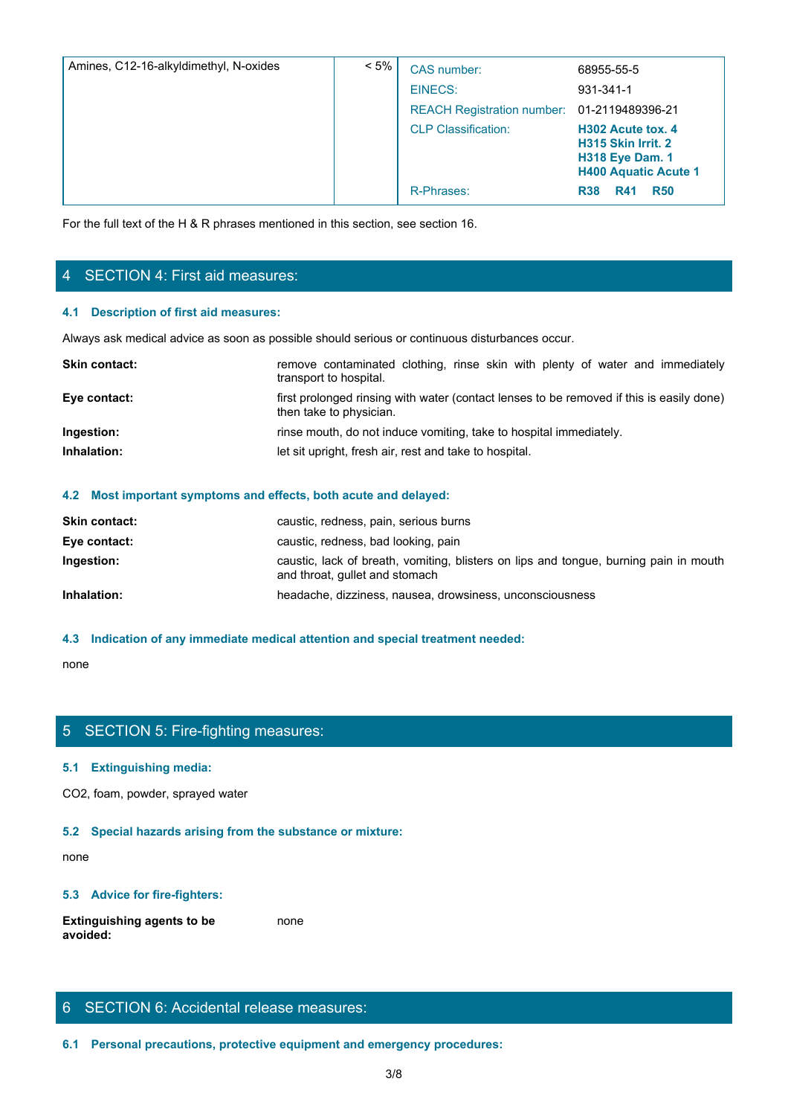| Amines, C12-16-alkyldimethyl, N-oxides                                                                                | $< 5\%$                 | CAS number:                                                                              | 68955-55-5                                                                                       |
|-----------------------------------------------------------------------------------------------------------------------|-------------------------|------------------------------------------------------------------------------------------|--------------------------------------------------------------------------------------------------|
|                                                                                                                       |                         | <b>EINECS:</b>                                                                           | 931-341-1                                                                                        |
|                                                                                                                       |                         | <b>REACH Registration number:</b>                                                        | 01-2119489396-21                                                                                 |
|                                                                                                                       |                         | <b>CLP Classification:</b>                                                               | H302 Acute tox. 4<br>H315 Skin Irrit. 2<br><b>H318 Eye Dam. 1</b><br><b>H400 Aquatic Acute 1</b> |
|                                                                                                                       |                         | R-Phrases:                                                                               | <b>R41</b><br><b>R50</b><br><b>R38</b>                                                           |
| For the full text of the H & R phrases mentioned in this section, see section 16.<br>4 SECTION 4: First aid measures: |                         |                                                                                          |                                                                                                  |
| 4.1 Description of first aid measures:                                                                                |                         |                                                                                          |                                                                                                  |
| Always ask medical advice as soon as possible should serious or continuous disturbances occur.                        |                         |                                                                                          |                                                                                                  |
| Skin contact:                                                                                                         | transport to hospital.  | remove contaminated clothing, rinse skin with plenty of water and immediately            |                                                                                                  |
| Eye contact:                                                                                                          | then take to physician. | first prolonged rinsing with water (contact lenses to be removed if this is easily done) |                                                                                                  |
| Ingestion:                                                                                                            |                         | rinse mouth, do not induce vomiting, take to hospital immediately.                       |                                                                                                  |
| Inhalation:                                                                                                           |                         | let sit upright, fresh air, rest and take to hospital.                                   |                                                                                                  |
|                                                                                                                       |                         |                                                                                          |                                                                                                  |
|                                                                                                                       |                         |                                                                                          |                                                                                                  |

# 4 SECTION 4: First aid measures:

### **4.1 Description of first aid measures:**

| <b>Skin contact:</b> | remove contaminated clothing, rinse skin with plenty of water and immediately<br>transport to hospital.             |
|----------------------|---------------------------------------------------------------------------------------------------------------------|
| Eye contact:         | first prolonged rinsing with water (contact lenses to be removed if this is easily done)<br>then take to physician. |
| Ingestion:           | rinse mouth, do not induce vomiting, take to hospital immediately.                                                  |
| Inhalation:          | let sit upright, fresh air, rest and take to hospital.                                                              |
|                      |                                                                                                                     |

### **4.2 Most important symptoms and effects, both acute and delayed:**

| <b>Skin contact:</b> | caustic, redness, pain, serious burns                                                                                   |
|----------------------|-------------------------------------------------------------------------------------------------------------------------|
| Eye contact:         | caustic, redness, bad looking, pain                                                                                     |
| Ingestion:           | caustic, lack of breath, vomiting, blisters on lips and tongue, burning pain in mouth<br>and throat, gullet and stomach |
| Inhalation:          | headache, dizziness, nausea, drowsiness, unconsciousness                                                                |

### **4.3 Indication of any immediate medical attention and special treatment needed:**

none and the state of the state of the state of the state of the state of the state of the state of the state of the state of the state of the state of the state of the state of the state of the state of the state of the s

# 5 SECTION 5: Fire-fighting measures:

### **5.1 Extinguishing media:**

CO2, foam, powder, sprayed water

### **5.2 Special hazards arising from the substance or mixture:**

none and the state of the state of the state of the state of the state of the state of the state of the state of the state of the state of the state of the state of the state of the state of the state of the state of the s

### **5.3 Advice for fire-fighters:**

**Extinguishing agents to be avoided:** none and the state of the state of the state of the state of the state of the state of the state of the state of the state of the state of the state of the state of the state of the state of the state of the state of the s

# 6 SECTION 6: Accidental release measures:

**6.1 Personal precautions, protective equipment and emergency procedures:**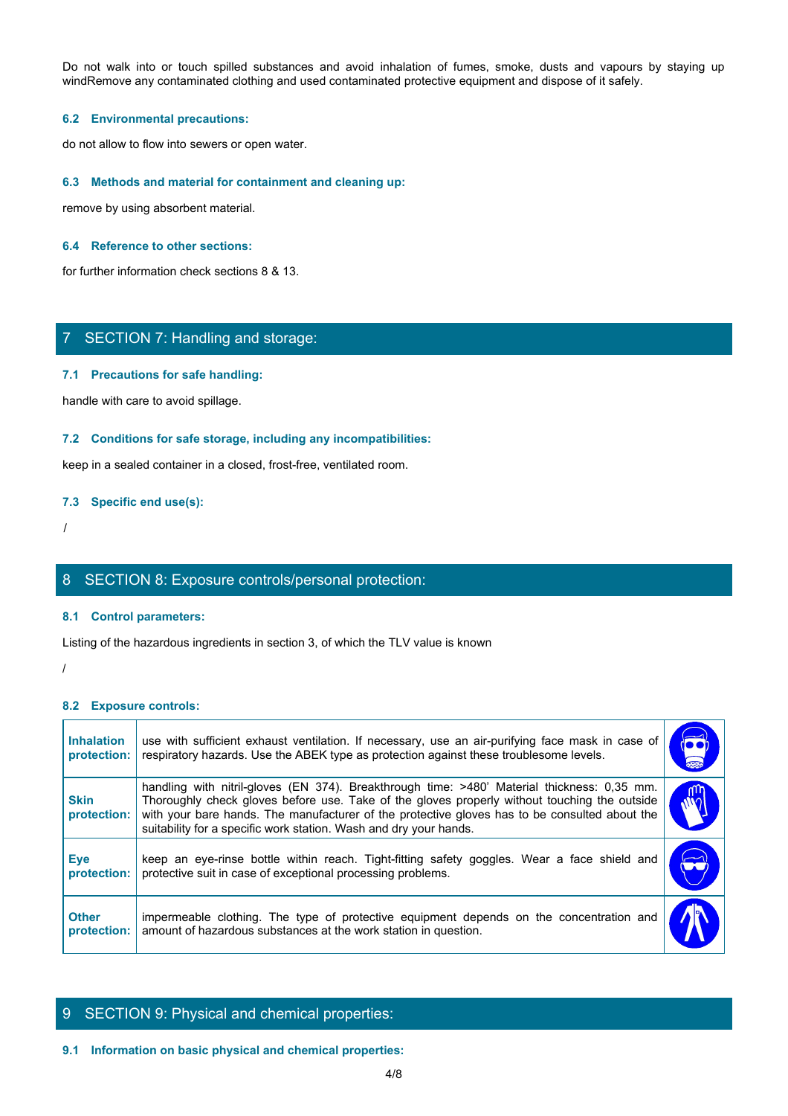Do not walk into or touch spilled substances and avoid inhalation of fumes, smoke, dusts and vapours by staying up<br>windRemove any contaminated clothing and used contaminated protective equipment and dispose of it safely.<br>6 windRemove any contaminated clothing and used contaminated protective equipment and dispose of it safely.

### **6.2 Environmental precautions:**

do not allow to flow into sewers or open water.

### **6.3 Methods and material for containment and cleaning up:**

remove by using absorbent material.

### **6.4 Reference to other sections:**

for further information check sections 8 & 13.

# 7 SECTION 7: Handling and storage:

### **7.1 Precautions for safe handling:**

#### **7.2 Conditions for safe storage, including any incompatibilities:**

### **7.3 Specific end use(s):**

# 8 SECTION 8: Exposure controls/personal protection:

### **8.1 Control parameters:**

### **8.2 Exposure controls:**

|                                  | 7 SECTION 7: Handling and storage:                                                                                                                                                                                                                                                                                                                                |           |
|----------------------------------|-------------------------------------------------------------------------------------------------------------------------------------------------------------------------------------------------------------------------------------------------------------------------------------------------------------------------------------------------------------------|-----------|
|                                  | 7.1 Precautions for safe handling:                                                                                                                                                                                                                                                                                                                                |           |
|                                  | handle with care to avoid spillage.                                                                                                                                                                                                                                                                                                                               |           |
|                                  | 7.2 Conditions for safe storage, including any incompatibilities:                                                                                                                                                                                                                                                                                                 |           |
|                                  | keep in a sealed container in a closed, frost-free, ventilated room.                                                                                                                                                                                                                                                                                              |           |
|                                  | 7.3 Specific end use(s):                                                                                                                                                                                                                                                                                                                                          |           |
|                                  |                                                                                                                                                                                                                                                                                                                                                                   |           |
|                                  | 8 SECTION 8: Exposure controls/personal protection:                                                                                                                                                                                                                                                                                                               |           |
|                                  | 8.1 Control parameters:                                                                                                                                                                                                                                                                                                                                           |           |
|                                  | Listing of the hazardous ingredients in section 3, of which the TLV value is known                                                                                                                                                                                                                                                                                |           |
|                                  |                                                                                                                                                                                                                                                                                                                                                                   |           |
| 8.2 Exposure controls:           |                                                                                                                                                                                                                                                                                                                                                                   |           |
| <b>Inhalation</b><br>protection: | use with sufficient exhaust ventilation. If necessary, use an air-purifying face mask in case of<br>respiratory hazards. Use the ABEK type as protection against these troublesome levels.                                                                                                                                                                        | $\bullet$ |
| <b>Skin</b><br>protection:       | handling with nitril-gloves (EN 374). Breakthrough time: >480' Material thickness: 0,35 mm.<br>Thoroughly check gloves before use. Take of the gloves properly without touching the outside<br>with your bare hands. The manufacturer of the protective gloves has to be consulted about the<br>suitability for a specific work station. Wash and dry your hands. | WQ        |
| <b>Eye</b><br>protection:        | keep an eye-rinse bottle within reach. Tight-fitting safety goggles. Wear a face shield and<br>protective suit in case of exceptional processing problems.                                                                                                                                                                                                        | $\sum$    |
| <b>Other</b><br>protection:      | impermeable clothing. The type of protective equipment depends on the concentration and<br>amount of hazardous substances at the work station in question.                                                                                                                                                                                                        |           |

# 9 SECTION 9: Physical and chemical properties:

### **9.1 Information on basic physical and chemical properties:**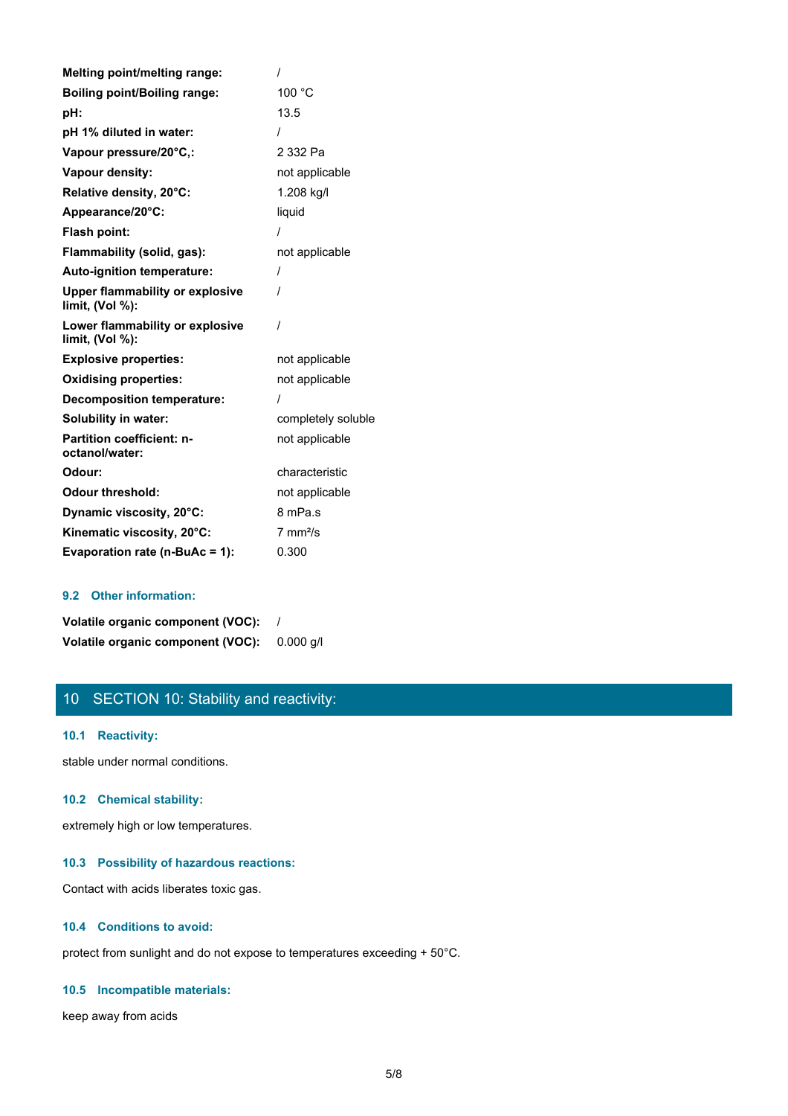| <b>Melting point/melting range:</b>                       |                     |
|-----------------------------------------------------------|---------------------|
| <b>Boiling point/Boiling range:</b>                       | 100 °C              |
| pH:                                                       | 13.5                |
| pH 1% diluted in water:                                   | $\prime$            |
| Vapour pressure/20°C,:                                    | 2 332 Pa            |
| Vapour density:                                           | not applicable      |
| Relative density, 20°C:                                   | 1.208 kg/l          |
| Appearance/20°C:                                          | liquid              |
| Flash point:                                              |                     |
| Flammability (solid, gas):                                | not applicable      |
| Auto-ignition temperature:                                | $\prime$            |
| <b>Upper flammability or explosive</b><br>limit, (Vol %): | $\prime$            |
| Lower flammability or explosive<br>limit, (Vol %):        | $\prime$            |
| <b>Explosive properties:</b>                              | not applicable      |
| <b>Oxidising properties:</b>                              | not applicable      |
| <b>Decomposition temperature:</b>                         | $\prime$            |
| <b>Solubility in water:</b>                               | completely soluble  |
| Partition coefficient: n-<br>octanol/water:               | not applicable      |
| Odour:                                                    | characteristic      |
| <b>Odour threshold:</b>                                   | not applicable      |
| Dynamic viscosity, 20°C:                                  | 8 mPa.s             |
| Kinematic viscosity, 20°C:                                | $7 \text{ mm}^2$ /s |
| Evaporation rate (n-BuAc = 1):                            | 0.300               |

### **9.2 Other information:**

| Volatile organic component (VOC): |           |
|-----------------------------------|-----------|
| Volatile organic component (VOC): | 0.000 a/l |

# 10 SECTION 10: Stability and reactivity:

### **10.1 Reactivity:**

stable under normal conditions.

### **10.2 Chemical stability:**

extremely high or low temperatures.

### **10.3 Possibility of hazardous reactions:**

Contact with acids liberates toxic gas.

### **10.4 Conditions to avoid:**

protect from sunlight and do not expose to temperatures exceeding + 50°C.

### **10.5 Incompatible materials:**

keep away from acids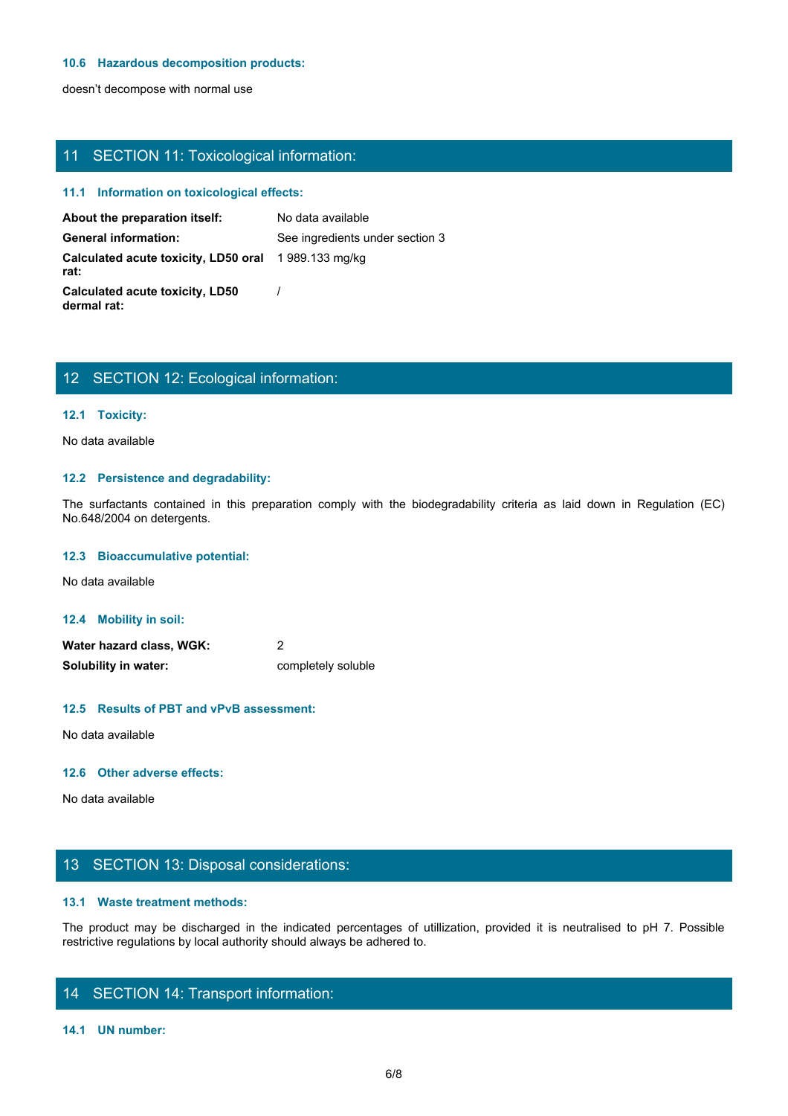### **10.6 Hazardous decomposition products:**

doesn't decompose with normal use

# 11 SECTION 11: Toxicological information:

### **11.1 Information on toxicological effects:**

| 11 SECTION 11: Toxicological information:                   |                                                                                                                         |
|-------------------------------------------------------------|-------------------------------------------------------------------------------------------------------------------------|
| 11.1 Information on toxicological effects:                  |                                                                                                                         |
| About the preparation itself:                               | No data available                                                                                                       |
| <b>General information:</b>                                 | See ingredients under section 3                                                                                         |
| Calculated acute toxicity, LD50 oral 1989.133 mg/kg<br>rat: |                                                                                                                         |
| <b>Calculated acute toxicity, LD50</b><br>dermal rat:       |                                                                                                                         |
|                                                             |                                                                                                                         |
|                                                             |                                                                                                                         |
| 12 SECTION 12: Ecological information:                      |                                                                                                                         |
| 12.1 Toxicity:                                              |                                                                                                                         |
| No data available                                           |                                                                                                                         |
| 12.2 Persistence and degradability:                         |                                                                                                                         |
| No.648/2004 on detergents.                                  | The surfactants contained in this preparation comply with the biodegradability criteria as laid down in Regulation (EC) |
| 12.3 Bioaccumulative potential:                             |                                                                                                                         |
| No data available                                           |                                                                                                                         |
|                                                             |                                                                                                                         |

# 12 SECTION 12: Ecological information:

### **12.1 Toxicity:**

### **12.2 Persistence and degradability:**

#### **12.3 Bioaccumulative potential:**

### **12.4 Mobility in soil:**

| Water hazard class, WGK: |                    |
|--------------------------|--------------------|
| Solubility in water:     | completely soluble |

### **12.5 Results of PBT and vPvB assessment:**

No data available

### **12.6 Other adverse effects:**

No data available

# 13 SECTION 13: Disposal considerations:

### **13.1 Waste treatment methods:**

The product may be discharged in the indicated percentages of utilization, provided it is neutralised to pH 7. Possible<br>Water hazard class, WGK:<br>The product may be discharged in the indicated percentages of utilization, pr restrictive regulations by local authority should always be adhered to.

# 14 SECTION 14: Transport information:

#### **14.1 UN number:**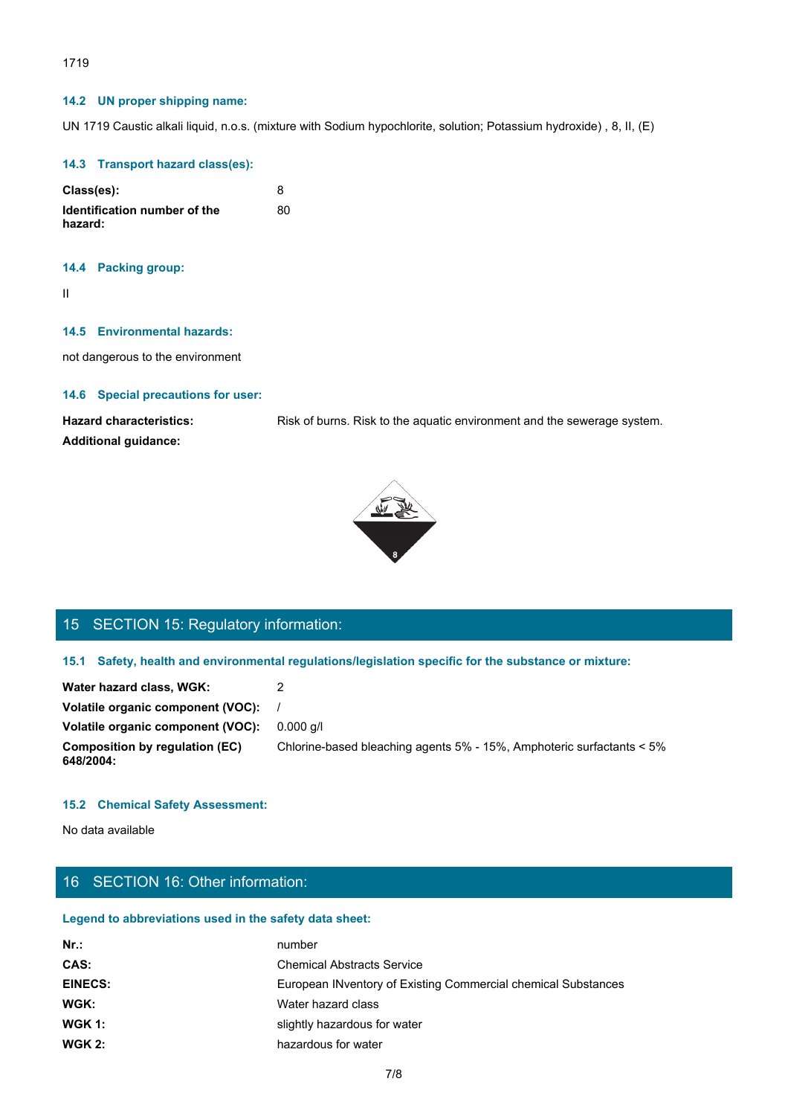### 1719

### **14.2 UN proper shipping name:**

UN 1719 Caustic alkali liquid, n.o.s. (mixture with Sodium hypochlorite, solution; Potassium hydroxide) , 8, II, (E)

### **14.3 Transport hazard class(es):**

| Class(es):                              |    |
|-----------------------------------------|----|
| Identification number of the<br>hazard: | 80 |

### **14.4 Packing group:**

II and the state of the state of the state of the state of the state of the state of the state of the state of

### **14.5 Environmental hazards:**

not dangerous to the environment

### **14.6 Special precautions for user:**

**Additional guidance:**

Hazard characteristics: Risk of burns. Risk to the aquatic environment and the sewerage system.



# 15 SECTION 15: Regulatory information:

### **15.1 Safety, health and environmental regulations/legislation specific for the substance or mixture:**

| Water hazard class, WGK:                           |                                                                       |
|----------------------------------------------------|-----------------------------------------------------------------------|
| Volatile organic component (VOC):                  |                                                                       |
| Volatile organic component (VOC):                  | 0.000 a/l                                                             |
| <b>Composition by regulation (EC)</b><br>648/2004: | Chlorine-based bleaching agents 5% - 15%, Amphoteric surfactants < 5% |

### **15.2 Chemical Safety Assessment:**

No data available

# 16 SECTION 16: Other information:

### **Legend to abbreviations used in the safety data sheet:**

| number                                                        |
|---------------------------------------------------------------|
| <b>Chemical Abstracts Service</b>                             |
| European INventory of Existing Commercial chemical Substances |
| Water hazard class                                            |
| slightly hazardous for water                                  |
| hazardous for water                                           |
|                                                               |